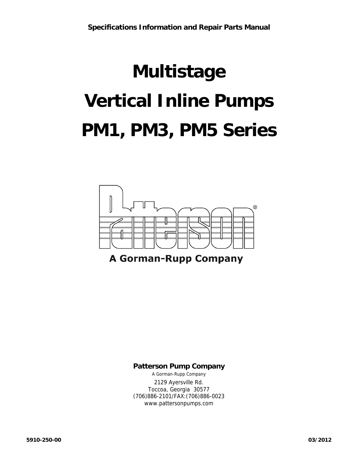## **Multistage Vertical Inline Pumps PM1, PM3, PM5 Series**



#### **Patterson Pump Company**

A Gorman-Rupp Company 2129 Ayersville Rd. Toccoa, Georgia 30577 (706)886-2101/FAX:(706)886-0023 www.pattersonpumps.com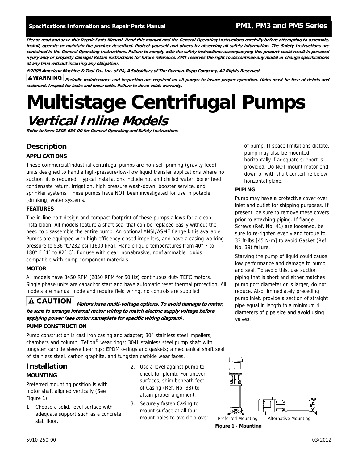**Please read and save this Repair Parts Manual. Read this manual and the General Operating Instructions carefully before attempting to assemble, install, operate or maintain the product described. Protect yourself and others by observing all safety information. The Safety Instructions are contained in the General Operating Instructions. Failure to comply with the safety instructions accompanying this product could result in personal injury and/or property damage! Retain instructions for future reference. AMT reserves the right to discontinue any model or change specifications at any time without incurring any obligation.** 

**®2009 American Machine & Tool Co., Inc. of PA, A Subsidiary of The Gorman-Rupp Company, All Rights Reserved.** 

**AWARNING** periodic maintenance and inspection are required on all pumps to insure proper operation. Units must be free of debris and **sediment. Inspect for leaks and loose bolts. Failure to do so voids warranty.** 

## **Multistage Centrifugal Pumps Vertical Inline Models**

**Refer to form 1808-634-00 for General Operating and Safety Instructions** 

#### **Description**

#### **APPLICATIONS**

These commercial/industrial centrifugal pumps are non-self-priming (gravity feed) units designed to handle high-pressure/low-flow liquid transfer applications where no suction lift is required. Typical installations include hot and chilled water, boiler feed, condensate return, irrigation, high pressure wash-down, booster service, and sprinkler systems. These pumps have NOT been investigated for use in potable (drinking) water systems.

#### **FEATURES**

The in-line port design and compact footprint of these pumps allows for a clean installation. All models feature a shaft seal that can be replaced easily without the need to disassemble the entire pump. An optional ANSI/ASME flange kit is available. Pumps are equipped with high efficiency closed impellers, and have a casing working pressure to 536 ft./232 psi [1600 kPa]. Handle liquid temperatures from 40° F to 180° F [4° to 82° C]. For use with clear, nonabrasive, nonflammable liquids compatible with pump component materials.

#### **MOTOR**

All models have 3450 RPM (2850 RPM for 50 Hz) continuous duty TEFC motors. Single phase units are capacitor start and have automatic reset thermal protection. All models are manual mode and require field wiring, no controls are supplied.

**A CAUTION** Motors have multi-voltage options. To avoid damage to motor, **be sure to arrange internal motor wiring to match electric supply voltage before applying power (see motor nameplate for specific wiring diagram).**

#### **PUMP CONSTRUCTION**

Pump construction is cast iron casing and adapter; 304 stainless steel impellers, chambers and column; Teflon® wear rings; 304L stainless steel pump shaft with tungsten carbide sleeve bearings; EPDM o-rings and gaskets; a mechanical shaft seal of stainless steel, carbon graphite, and tungsten carbide wear faces.

#### **Installation MOUNTING**

Preferred mounting position is with motor shaft aligned vertically (See Figure 1).

- 1. Choose a solid, level surface with adequate support such as a concrete slab floor.
- 2. Use a level against pump to check for plumb. For uneven surfaces, shim beneath feet of Casing (Ref. No. 38) to attain proper alignment.
- 3. Securely fasten Casing to mount surface at all four mount holes to avoid tip-over



Preferred Mounting Alternative Mounting

**Figure 1 - Mounting** 

of pump. If space limitations dictate, pump may also be mounted horizontally if adequate support is provided. Do NOT mount motor end down or with shaft centerline below horizontal plane.

#### **PIPING**

Pump may have a protective cover over inlet and outlet for shipping purposes. If present, be sure to remove these covers prior to attaching piping. If flange Screws (Ref. No. 41) are loosened, be sure to re-tighten evenly and torque to 33 ft-lbs [45 N-m] to avoid Gasket (Ref. No. 39) failure.

Starving the pump of liquid could cause low performance and damage to pump and seal. To avoid this, use suction piping that is short and either matches pump port diameter or is larger, do not reduce. Also, immediately preceding pump inlet, provide a section of straight pipe equal in length to a minimum 4 diameters of pipe size and avoid using valves.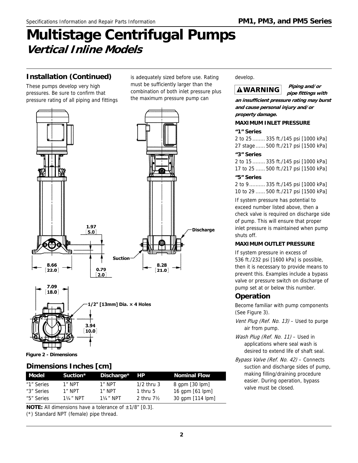## **Multistage Centrifugal Pumps Vertical Inline Models**

#### **Installation (Continued)**

These pumps develop very high pressures. Be sure to confirm that pressure rating of all piping and fittings is adequately sized before use. Rating must be sufficiently larger than the combination of both inlet pressure plus the maximum pressure pump can





**Figure 2 - Dimensions** 

#### **Dimensions Inches [cm]**

| Model      | Suction*             | Discharge*           | <b>HP</b>    | <b>Nominal Flow</b> |
|------------|----------------------|----------------------|--------------|---------------------|
| "1" Series | 1″ NPT               | 1" NPT               | $1/2$ thru 3 | $8$ qpm $[30$ lpm]  |
| "3" Series | 1″ NPT               | 1″ NPT               | 1 thru $5$   | 16 qpm $[61$ lpm]   |
| "5" Series | $1\frac{1}{4}$ " NPT | $1\frac{1}{4}$ " NPT | 2 thru $7\%$ | 30 qpm [114 lpm]    |

**NOTE:** All dimensions have a tolerance of  $\pm 1/8$ " [0.3].

(\*) Standard NPT (female) pipe thread.

#### develop.

#### **AWARNING**

**Piping and/or pipe fittings with** 

**an insufficient pressure rating may burst and cause personal injury and/or property damage.** 

#### **MAXIMUM INLET PRESSURE**

#### **"1" Series**

2 to 25 ........ 335 ft./145 psi [1000 kPa] 27 stage ...... 500 ft./217 psi [1500 kPa]

#### **"3" Series**

2 to 15 ........ 335 ft./145 psi [1000 kPa] 17 to 25 ...... 500 ft./217 psi [1500 kPa]

#### **"5" Series**

2 to 9 .......... 335 ft./145 psi [1000 kPa] 10 to 29 ...... 500 ft./217 psi [1500 kPa]

If system pressure has potential to exceed number listed above, then a check valve is required on discharge side of pump. This will ensure that proper inlet pressure is maintained when pump shuts off.

#### **MAXIMUM OUTLET PRESSURE**

If system pressure in excess of 536 ft./232 psi [1600 kPa] is possible, then it is necessary to provide means to prevent this. Examples include a bypass valve or pressure switch on discharge of pump set at or below this number.

#### **Operation**

Become familiar with pump components (See Figure 3).

- Vent Plug (Ref. No. 13) Used to purge air from pump.
- Wash Plug (Ref. No. 11) Used in applications where seal wash is desired to extend life of shaft seal.
- Bypass Valve (Ref. No. 42) Connects suction and discharge sides of pump, making filling/draining procedure easier. During operation, bypass valve must be closed.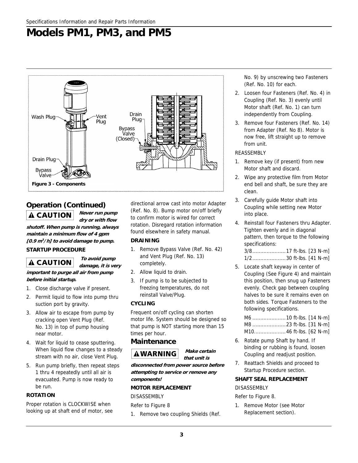### **Models PM1, PM3, and PM5**



#### **Operation (Continued) Never run pump**

**dry or with flow** 

**To avoid pump** 

**shutoff. When pump is running, always maintain a minimum flow of 4 gpm [0.9 m<sup>3</sup> /h] to avoid damage to pump.** 

#### **STARTUP PROCEDURE**

**damage, it is very important to purge all air from pump before initial startup.** 

- 1. Close discharge valve if present.
- 2. Permit liquid to flow into pump thru suction port by gravity.
- 3. Allow air to escape from pump by cracking open Vent Plug (Ref. No. 13) in top of pump housing near motor.
- 4. Wait for liquid to cease sputtering. When liquid flow changes to a steady stream with no air, close Vent Plug.
- 5. Run pump briefly, then repeat steps 1 thru 4 repeatedly until all air is evacuated. Pump is now ready to be run.

#### **ROTATION**

Proper rotation is CLOCKWISE when looking up at shaft end of motor, see

directional arrow cast into motor Adapter (Ref. No. 8). Bump motor on/off briefly to confirm motor is wired for correct rotation. Disregard rotation information found elsewhere in safety manual.

#### **DRAINING**

- 1. Remove Bypass Valve (Ref. No. 42) and Vent Plug (Ref. No. 13) completely.
- 2. Allow liquid to drain.
- 3. If pump is to be subjected to freezing temperatures, do not reinstall Valve/Plug.

#### **CYCLING**

Frequent on/off cycling can shorten motor life. System should be designed so that pump is NOT starting more than 15 times per hour.

#### **Maintenance**



**that unit is** 

**disconnected from power source before attempting to service or remove any components!** 

#### **MOTOR REPLACEMENT**

DISASSEMBLY

Refer to Figure 8

1. Remove two coupling Shields (Ref.

No. 9) by unscrewing two Fasteners (Ref. No. 10) for each.

- 2. Loosen four Fasteners (Ref. No. 4) in Coupling (Ref. No. 3) evenly until Motor shaft (Ref. No. 1) can turn independently from Coupling.
- 3. Remove four Fasteners (Ref. No. 14) from Adapter (Ref. No 8). Motor is now free, lift straight up to remove from unit.

#### REASSEMBLY

- 1. Remove key (if present) from new Motor shaft and discard.
- 2. Wipe any protective film from Motor end bell and shaft, be sure they are clean.
- 3. Carefully guide Motor shaft into Coupling while setting new Motor into place.
- 4. Reinstall four Fasteners thru Adapter. Tighten evenly and in diagonal pattern, then torque to the following specifications: 3/8.....................17 ft-lbs. [23 N-m]
- 1/2.....................30 ft-lbs. [41 N-m] 5. Locate shaft keyway in center of Coupling (See Figure 4) and maintain this position, then snug up Fasteners evenly. Check gap between coupling halves to be sure it remains even on both sides. Torque Fasteners to the

following specifications. M6 .....................10 ft-lbs. [14 N-m] M8 .....................23 ft-lbs. [31 N-m] M10....................46 ft-lbs. [62 N-m]

- 6. Rotate pump Shaft by hand. If binding or rubbing is found, loosen Coupling and readjust position.
- 7. Reattach Shields and proceed to Startup Procedure section.

#### **SHAFT SEAL REPLACEMENT**

#### DISASSEMBLY

Refer to Figure 8.

1. Remove Motor (see Motor Replacement section).

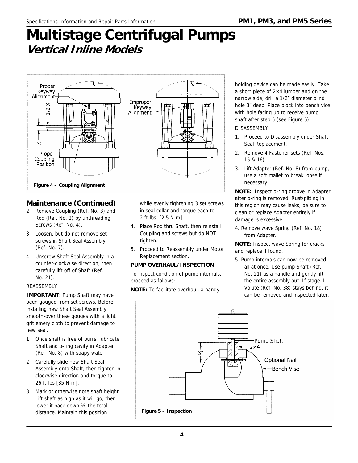## **Multistage Centrifugal Pumps Vertical Inline Models**



#### **Maintenance (Continued)**

- 2. Remove Coupling (Ref. No. 3) and Rod (Ref. No. 2) by unthreading Screws (Ref. No. 4).
- 3. Loosen, but do not remove set screws in Shaft Seal Assembly (Ref. No. 7).
- 4. Unscrew Shaft Seal Assembly in a counter-clockwise direction, then carefully lift off of Shaft (Ref. No. 21).

#### REASSEMBLY

**IMPORTANT:** Pump Shaft may have been gouged from set screws. Before installing new Shaft Seal Assembly, smooth-over these gouges with a light grit emery cloth to prevent damage to new seal.

- 1. Once shaft is free of burrs, lubricate Shaft and o-ring cavity in Adapter (Ref. No. 8) with soapy water.
- 2. Carefully slide new Shaft Seal Assembly onto Shaft, then tighten in clockwise direction and torque to 26 ft-lbs [35 N-m].
- 3. Mark or otherwise note shaft height. Lift shaft as high as it will go, then lower it back down ½ the total distance. Maintain this position

while evenly tightening 3 set screws in seal collar and torque each to 2 ft-lbs. [2.5 N-m].

- 4. Place Rod thru Shaft, then reinstall Coupling and screws but do NOT tighten.
- 5. Proceed to Reassembly under Motor Replacement section.

#### **PUMP OVERHAUL/INSPECTION**

To inspect condition of pump internals, proceed as follows:

**NOTE:** To facilitate overhaul, a handy

holding device can be made easily. Take a short piece of 2×4 lumber and on the narrow side, drill a 1/2" diameter blind hole 3" deep. Place block into bench vice with hole facing up to receive pump shaft after step 5 (see Figure 5).

#### DISASSEMBLY

- 1. Proceed to Disassembly under Shaft Seal Replacement.
- 2. Remove 4 Fastener sets (Ref. Nos. 15 & 16).
- 3. Lift Adapter (Ref. No. 8) from pump, use a soft mallet to break loose if necessary.

**NOTE:** Inspect o-ring groove in Adapter after o-ring is removed. Rust/pitting in this region may cause leaks, be sure to clean or replace Adapter entirely if damage is excessive.

4. Remove wave Spring (Ref. No. 18) from Adapter.

**NOTE:** Inspect wave Spring for cracks and replace if found.

5. Pump internals can now be removed all at once. Use pump Shaft (Ref. No. 21) as a handle and gently lift the entire assembly out. If stage-1 Volute (Ref. No. 38) stays behind, it can be removed and inspected later.

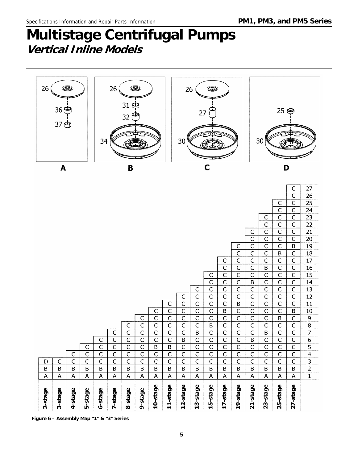## **Multistage Centrifugal Pumps Vertical Inline Models**



**5Figure 6 – Assembly Map "1" & "3" Series**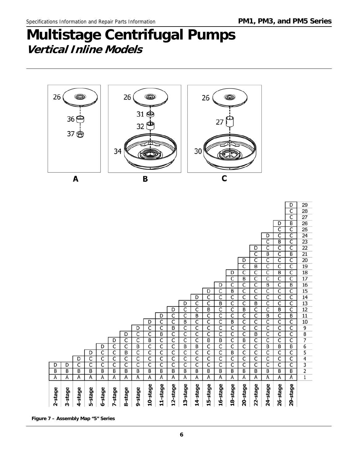## **Multistage Centrifugal Pumps Vertical Inline Models**



**6Figure 7 – Assembly Map "5" Series**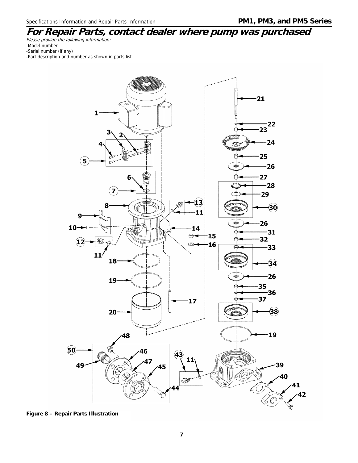#### **For Repair Parts, contact dealer where pump was purchased**  Please provide the following information:

-Model number -Serial number (if any)

-Part description and number as shown in parts list



**Figure 8 – Repair Parts Illustration**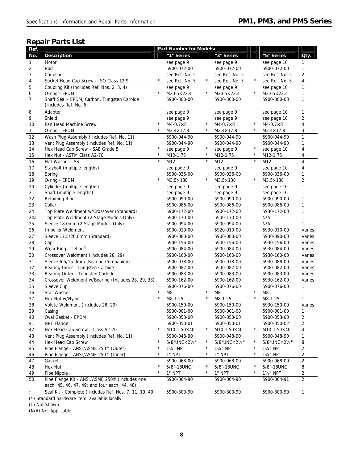#### **Repair Parts List**

| Ref.           |                                                        |            | <b>Part Number for Models:</b> |            |                            |            |                                    |                     |
|----------------|--------------------------------------------------------|------------|--------------------------------|------------|----------------------------|------------|------------------------------------|---------------------|
| No.            | <b>Description</b>                                     |            | "1" Series                     |            | "3" Series                 |            | "5" Series                         | Qty.                |
| 1              | Motor                                                  |            | see page 9                     |            | see page 9                 |            | see page 10                        | 1                   |
| 2              | Rod                                                    |            | 5900-072-00                    |            | 5900-072-00                |            | 5900-072-00                        | 1                   |
| 3              | Coupling                                               |            | see Ref. No. 5                 |            | see Ref. No. 5             |            | see Ref. No. 5                     | $\overline{2}$      |
| 4              | Socket Head Cap Screw - ISO Class 12.9                 | $^{\star}$ | see Ref. No. 5                 | $\star$    | see Ref. No. 5             | $\star$    | see Ref. No. 5                     | 4                   |
| 5              | Coupling Kit (Includes Ref. Nos. 2, 3, 4)              |            | see page 9                     |            | see page 9                 |            | see page 10                        | 1                   |
| 6              | O-ring - EPDM                                          | $^{\star}$ | $M2.65 \times 22.4$            | $\star$    | $M2.65 \times 22.4$        | $\star$    | $M2.65 \times 22.4$                | $\mathbf{1}$        |
| $\overline{7}$ | Shaft Seal - EPDM, Carbon, Tungsten Carbide            |            | 5900-300-00                    |            | 5900-300-00                |            | 5900-300-00                        | $\mathbf{1}$        |
|                | (Includes Ref. No. 6)                                  |            |                                |            |                            |            |                                    |                     |
| 8              | Adapter                                                |            | see page 9                     |            | see page 9                 |            | see page 10                        | 1                   |
| 9              | Shield                                                 |            | see page 9                     |            | see page 9                 |            | see page 10                        | 2                   |
| 10             | Pan Head Machine Screw                                 | $\star$    | $M4-0.7\times8$                | $\star$    | $M4-0.7\times8$            | $\star$    | $M4-0.7\times 8$                   | 4                   |
| 11             | O-ring - EPDM                                          | $^{\star}$ | $M2.4 \times 17.8$             | $\star$    | $M2.4 \times 17.8$         | $\star$    | $M2.4 \times 17.8$                 | 3                   |
| 12             | Wash Plug Assembly (Includes Ref. No. 11)              |            | 5900-044-90                    |            | 5900-044-90                |            | 5900-044-90                        | $\mathbf{1}$        |
| 13             | Vent Plug Assembly (Includes Ref. No. 11)              |            | 5900-044-90                    |            | 5900-044-90                |            | 5900-044-90                        | 1                   |
| 14             | Hex Head Cap Screw - SAE Grade 5                       | $\star$    | see page 9                     | $^{\star}$ | see page 9                 | $\star$    | see page 10                        | 4                   |
| 15             | Hex Nut - ASTM Class A2-70                             | $\star$    | M12-1.75                       | $\star$    | M12-1.75                   | $\star$    | M12-1.75                           | 4                   |
| 16             | Flat Washer - SS                                       | $^{\star}$ | M12                            | $\star$    | M12                        | $\star$    | M12                                | 4                   |
| 17             | Staybolt (multiple lengths)                            |            | see page 9                     |            | see page 9                 |            | see page 10                        | 4                   |
| 18             | Spring                                                 |            | 5900-036-00                    |            | 5900-036-00                |            | 5900-036-00                        | 1                   |
| 19             | O-ring - EPDM                                          | $\star$    | $M3.5 \times 138$              | $\star$    | $M3.5 \times 138$          | $\star$    | $M3.5 \times 138$                  | 2                   |
| 20             | Cylinder (multiple lengths)                            |            | see page 9                     |            | see page 9                 |            | see page 10                        | $\mathbf{1}$        |
| 21             | Shaft (multiple lengths)                               |            | see page 9                     |            | see page 9                 |            | see page 10                        | 1                   |
| 22             | <b>Retaining Ring</b>                                  |            | 5900-090-00                    |            | 5900-090-00                |            | 5900-090-00                        | 1                   |
| 23             | Collar                                                 |            | 5900-086-00                    |            | 5900-086-00                |            | 5900-086-00                        | 1                   |
| 24             | Top Plate Weldment w/Crossover (Standard)              |            | 5900-172-00                    |            | 5900-172-00                |            | 5930-172-00                        | $\mathbf{1}$        |
| 24a            | Top Plate Weldment (2-Stage Models Only)               |            | 5900-170-00                    |            | 5900-170-00                |            | N/A                                | 1                   |
| 25             | Sleeve 18.0mm (2-Stage Models Only)                    |            | 5900-094-00                    |            | 5900-094-00                |            | N/A                                | 1                   |
| 26             | Impeller Weldment                                      |            | 5900-010-00                    |            | 5920-010-00                |            | 5930-010-00                        | Varies              |
| 27             | Sleeve 17.5/26.0mm (Standard)                          |            | 5900-080-00                    |            | 5900-080-00                |            | 5930-090-00                        | Varies              |
| 28             | Cap                                                    |            | 5900-156-00                    |            | 5900-156-00                |            | 5930-156-00                        | Varies              |
| 29             | Wear Ring - Teflon®                                    |            | 5900-084-00                    |            | 5900-084-00                |            | 5930-084-00                        | Varies              |
| 30             | Crossover Weldment (Includes 28, 29)                   |            | 5900-160-00                    |            | 5900-160-00                |            | 5930-160-00                        | Varies              |
| 31             | Sleeve 6.5/15.0mm (Bearing Companion)                  |            | 5900-078-00                    |            | 5900-078-00                |            | 5930-088-00                        | Varies              |
| 32             | Bearing Inner - Tungsten Carbide                       |            | 5900-082-00                    |            | 5900-082-00                |            | 5900-082-00                        | Varies              |
| 33             | Bearing Outer - Tungsten Carbide                       |            | 5900-083-00                    |            | 5900-083-00                |            | 5900-083-00                        | Varies              |
| 34             | Crossover Weldment w/Bearing (Includes 28, 29, 33)     |            | 5900-162-00                    |            | 5900-162-00                |            | 5930-162-00                        | Varies              |
| 35             | Sleeve Cup                                             | $\star$    | 5900-076-00                    | $\star$    | 5900-076-00                | $\star$    | 5900-076-00                        | $\mathbf{1}$        |
| 36             | Star Washer                                            |            | M <sub>8</sub>                 |            | M8                         | $\star$    | M8                                 | 1<br>1              |
| 37<br>38       | Hex Nut w/Nyloc                                        |            | M8-1.25<br>5900-150-00         |            | M8-1.25<br>5900-150-00     |            | M8-1.25<br>5930-150-00             | Varies              |
|                | Volute Weldment (Includes 28, 29)                      |            |                                |            |                            |            |                                    |                     |
| 39             | Casing<br>Oval Gasket - EPDM                           |            | 5900-001-00<br>5900-053-00     |            | 5900-001-00<br>5900-053-00 |            | 5900-001-00                        | $\mathbf{1}$        |
| 40<br>41       | NPT Flange                                             |            | 5900-050-01                    |            | 5900-050-01                |            | 5900-053-00                        | 2<br>$\overline{2}$ |
| 42             | Hex Head Cap Screw - Class A2-70                       | $^\star$   | $M10-1.50\times 40$            | $^{\star}$ | $M10-1.50\times 40$        |            | 5900-050-02<br>$M10-1.50\times 40$ | 4                   |
| 43             | Vent Plug Assembly (Includes Ref. No. 11)              |            | 5900-048-90                    |            | 5900-048-90                |            | 5900-048-90                        | 1                   |
| 44             | Hex Head Cap Screw                                     | $^\star$   | 5/8"UNC×21/2"                  | $^{\star}$ | 5/8"UNC×21/2"              | $^{\star}$ | 5/8"UNC×21/2"                      |                     |
| 45             | Pipe Flange - ANSI/ASME 250# (Outer)                   | $^\star$   | 11/4" NPT                      | $\star$    | 11/ <sub>4</sub> " NPT     | $\star$    | 11/4" NPT                          | 8<br>2              |
| 46             | Pipe Flange - ANSI/ASME 250# (Inner)                   | $^\star$   | 1" NPT                         | $^{\star}$ | 1" NPT                     | $\star$    | 11/ <sub>4</sub> " NPT             | 2                   |
| 47             | Gasket                                                 |            | 5900-068-00                    |            | 5900-068-00                |            | 5900-068-00                        | $\overline{2}$      |
| 48             | Hex Nut                                                | $\star$    | 5/8"-18UNC                     | $\star$    | 5/8"-18UNC                 | $^{\star}$ | 5/8"-18UNC                         | 8                   |
| 49             | Pipe Nipple                                            | $^{\star}$ | 1" NPT                         | $^{\star}$ | 1" NPT                     | $\star$    | 11/ <sub>4</sub> " NPT             | 2                   |
| 50             | Pipe Flange Kit - ANSI/ASME 250# (Includes one         |            | 5900-064-90                    |            | 5900-064-90                |            | 5900-064-91                        | $\overline{2}$      |
|                | each: 45, 46, 47, 49; and four each: 44, 48)           |            |                                |            |                            |            |                                    |                     |
| T              | Seal Kit - Complete (Includes Ref. Nos. 7, 11, 19, 40) |            | 5900-300-90                    |            | 5900-300-90                |            | 5900-300-90                        | 1                   |

(\*) Standard hardware item, available locally.

(†) Not Shown

(N/A) Not Applicable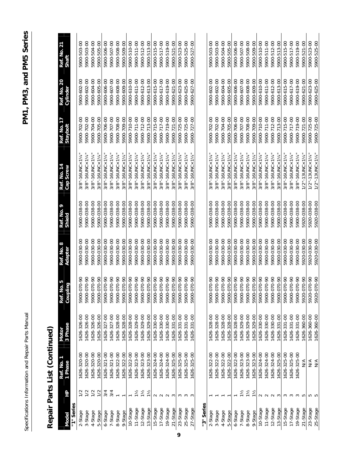| ו<br>ו |  |
|--------|--|
| i      |  |
|        |  |
| í      |  |
| l      |  |
| 1<br>6 |  |
|        |  |
|        |  |
|        |  |
|        |  |
|        |  |
|        |  |
|        |  |
|        |  |
|        |  |
|        |  |
|        |  |
|        |  |
|        |  |
|        |  |
|        |  |
|        |  |
|        |  |
|        |  |
|        |  |
| j      |  |
|        |  |
|        |  |
|        |  |
|        |  |
| Ò<br>ţ |  |
|        |  |
|        |  |
|        |  |
|        |  |
|        |  |
| ı      |  |
|        |  |

# Repair Parts List (Continued) **Repair Parts List (Continued)**

|               |                | Ref. No. 1<br>1 Phase | <b>Motor</b> | Ref. No. 5<br>Coupling | Ref. No. 8<br>Adapter | Ref. No. 9<br>Shield | Ref. No. 14<br>Cap Screw | Ref. No. 17<br>Staybolt | Ref. No. 20<br>Cylinder | Ref. No. 21<br>Shaft |
|---------------|----------------|-----------------------|--------------|------------------------|-----------------------|----------------------|--------------------------|-------------------------|-------------------------|----------------------|
| Nodel         | 오              |                       | 3 Phase      | <b>E</b>               |                       |                      |                          |                         |                         |                      |
| "1" Series    |                |                       |              |                        |                       |                      |                          |                         |                         |                      |
| 2-Stage       |                | 1626-320-00           | 1626-326-00  | 5900-070-90            | 5900-030-00           | 5900-038-00          | 3/8"-16UNC×114           | 5900-702-00             | 5900-602-00             | 5900-503-00          |
| 3-Stage       | 1/2            | 1626-320-00           | 1626-326-00  | 5900-070-90            | 5900-030-00           | 5900-038-00          | 3/8"-16UNC×114"          | 5900-702-00             | 5900-602-00             | 5900-503-00          |
| 4-Stage       | 1/2            | 1626-320-00           | 1626-326-00  | 5900-070-90            | 5900-030-00           | 5900-038-00          | 3/8"-16UNC×11/4"         | 5900-704-00             | 5900-604-00             | 5900-504-00          |
| 5-Stage       | 1/2            | 1626-320-00           | 1626-326-00  | 5900-070-90            | 5900-030-00           | 5900-038-00          | 3/8"-16UNC×1½            | 5900-705-00             | 5900-605-00             | 5900-505-00          |
| 6-Stage       | 3/4            | 1626-321-00           | 1626-327-00  | 5900-070-90            | 5900-030-00           | 5900-038-00          | 3/8"-16UNC×114           | 5900-706-00             | 5900-606-00             | 5900-506-00          |
| 7-Stage       | 3/4            | 1626-321-00           | 1626-327-00  | 5900-070-90            | 5900-030-00           | 5900-038-00          | 3/8"-16UNC×114"          | 5900-707-00             | 5900-607-00             | 5900-507-00          |
| 8-Stage       |                | 1626-322-00           | 1626-328-00  | 5900-070-90            | 5900-030-00           | 5900-038-00          | 3/8"-16UNC×11/4"         | 5900-708-00             | 5900-608-00             | 5900-508-00          |
| 9-Stage       |                | 1626-322-00           | 1626-328-00  | 5900-070-90            | 5900-030-00           | 5900-038-00          | 3/8"-16UNC×114"          | 5900-709-00             | 5900-609-00             | 5900-509-00          |
| 10-Stage      |                | 1626-322-00           | 1626-328-00  | 5900-070-90            | 5900-030-00           | 5900-038-00          | 3/8"-16UNC×114"          | 5900-710-00             | 5900-610-00             | 5900-510-00          |
| 11-Stage      | $1\frac{1}{2}$ | 1626-323-00           | 1626-329-00  | 5900-070-90            | 5900-030-00           | 5900-038-00          | 3/8"-16UNC×11/4          | 5900-711-00             | 5900-611-00             | 5900-511-00          |
| 12-Stage      | $1\frac{1}{2}$ | 1626-323-00           | 1626-329-00  | 5900-070-90            | 5900-030-00           | 5900-038-00          | 3/8"-16UNC×114"          | 5900-712-00             | 5900-612-00             | 5900-512-00          |
| 13-Stage      | $1\frac{1}{2}$ | 1626-323-00           | 1626-329-00  | 5900-070-90            | 5900-030-00           | 5900-038-00          | 3/8"-16UNC×114"          | 5900-713-00             | 5900-613-00             | 5900-513-00          |
| 15-Stage      |                | 1626-324-00           | 1626-330-00  | 5900-070-90            | 5900-030-00           | 5900-038-00          | 3/8"-16UNC×114           | 5900-715-00             | 5900-615-00             | 5900-515-00          |
| 17-Stage      | $\sim$ $\sim$  | 1626-324-00           | 1626-330-00  | 5900-070-90            | 5900-030-00           | 5900-038-00          | 3/8"-16UNC×11/4          | 5900-717-00             | 5900-617-00             | 5900-517-00          |
| 19-Stage      | <b>്</b> ന     | 1626-324-00           | 1626-330-00  | 5900-070-90            | 5900-030-00           | 5900-038-00          | 3/8"-16UNC×11/4"         | 5900-719-00             | 5900-619-00             | 5900-519-00          |
| 21-Stage      |                | 1626-325-00           | 1626-331-00  | 5900-070-90            | 5900-030-00           | 5900-038-00          | 3/8"-16UNC×11/4          | 5900-721-00             | 5900-621-00             | 5900-521-00          |
| 23-Stage<br>9 |                | 1626-325-00           | 1626-331-00  | 5900-070-90            | 5900-030-00           | 5900-038-00          | 3/8"-16UNC×114           | 5900-725-00             | 5900-623-00             | 5900-523-00          |
| 25-Stage      | ო ო ო          | 1626-325-00           | 1626-331-00  | 5900-070-90            | 5900-030-00           | 5900-038-00          | 3/8"-16UNC×11/4"         | 5900-725-00             | 5900-625-00             | 5900-525-00          |
| 27-Stage      |                | 626-325-00            | 1626-331-00  | 5900-070-90            | 5900-030-00           | 5900-038-00          | 3/8"-16UNC×11/4          | 5900-727-00             | 5900-627-00             | 5900-527-00          |
| "3" Series    |                |                       |              |                        |                       |                      |                          |                         |                         |                      |
| 2-Stage       |                | 1626-322-00           | 1626-328-00  | 5900-070-90            | 5900-030-00           | 5900-038-00          | 3/8"-16UNC×114           | 5900-702-00             | 5900-602-00             | 5900-503-00          |
| 3-Stage       |                | 1626-322-00           | 1626-328-00  | 5900-070-90            | 5900-030-00           | 5900-038-00          | 3/8"-16UNC×114           | 5900-702-00             | 5900-602-00             | 5900-503-00          |
| 4-Stage       |                | 1626-322-00           | 1626-328-00  | 5900-070-90            | 5900-030-00           | 5900-038-00          | 3/8"-16UNC×114"          | 5900-704-00             | 5900-604-00             | 5900-504-00          |
| 5-Stage       |                | 1626-322-00           | 1626-328-00  | 5900-070-90            | 5900-030-00           | 5900-038-00          | 3/8"-16UNC×114           | 5900-705-00             | 5900-605-00             | 5900-505-00          |
| 6-Stage       |                | 1626-322-00           | 1626-328-00  | 5900-070-90            | 5900-030-00           | 5900-038-00          | 3/8"-16UNC×114           | 5900-706-00             | 5900-606-00             | 5900-506-00          |
| 7-Stage       | $1\frac{1}{2}$ | 1626-323-00           | 1626-329-00  | 5900-070-90            | 5900-030-00           | 5900-038-00          | 3/8"-16UNC×114"          | 5900-707-00             | 5900-607-00             | 5900-507-00          |
| 8-Stage       | $1\frac{1}{2}$ | 1626-323-00           | 1626-329-00  | 5900-070-90            | 5900-030-00           | 5900-038-00          | 3/8"-16UNC×11/4"         | 5900-708-00             | 5900-608-00             | 5900-508-00          |
| 9-Stage       | $1\frac{1}{2}$ | 1626-323-00           | 1626-329-00  | 5900-070-90            | 5900-030-00           | 5900-038-00          | 3/8"-16UNC×11/4"         | 5900-709-00             | 5900-609-00             | 5900-509-00          |
| 10-Stage      |                | 1626-324-00           | 1626-330-00  | 5900-070-90            | 5900-030-00           | 5900-038-00          | 3/8"-16UNC×11/4"         | 5900-710-00             | 5900-610-00             | 5900-510-00          |
| 11-Stage      | $\sim$         | 1626-324-00           | 1626-330-00  | 5900-070-90            | 5900-030-00           | 5900-038-00          | 3/8"-16UNC×114"          | 5900-711-00             | 5900-611-00             | 5900-511-00          |
| 12-Stage      | $\sim$         | 1626-324-00           | 1626-330-00  | 5900-070-90            | 5900-030-00           | 5900-038-00          | 3/8"-16UNC×114"          | 5900-712-00             | 5900-612-00             | 5900-512-00          |
| 13-Stage      |                | 1626-325-00           | 1626-331-00  | 5900-070-90            | 5900-030-00           | 5900-038-00          | 3/8"-16UNC×114"          | 5900-713-00             | 5900-613-00             | 5900-513-00          |
| 15-Stage      | 3              | 1626-325-00           | 1626-331-00  | 5900-070-90            | 5900-030-00           | 5900-038-00          | 3/8"-16UNC×114"          | 5900-715-00             | 5900-615-00             | 5900-515-00          |
| 17-Stage      | $\sim$         | 1626-325-00           | 1626-331-00  | 5900-070-90            | 5900-030-00           | 5900-038-00          | 3/8"-16UNC×114"          | 5900-717-00             | 5900-617-00             | 5900-517-00          |
| 19-Stage      | $\sim$         | 1626-325-00           | 1626-331-00  | 5900-070-90            | 5900-030-00           | 5900-038-00          | 3/8"-16UNC×114"          | 5900-719-00             | 5900-619-00             | 5900-519-00          |
| 21-Stage      | ഥ              | $\leq$                | 1626-360-00  | 5920-070-90            | 5920-030-00           | 5920-038-00          | $1/2" - 13$ UNC x 1 1/4  | 5900-721-00             | 5900-621-00             | 5900-521-00          |
| 23-Stage      | 5<br>5<br>5    | ⋚                     | 1626-360-00  | 5920-070-90            | 5920-030-00           | 5920-038-00          | $1/2" - 13$ UNC x 1 1/4  | 5900-725-00             | 5900-623-00             | 5900-523-00          |
| 25-Stage      |                | $\frac{4}{\sqrt{2}}$  | 1626-360-00  | 5920-070-90            | 5920-030-00           | 5920-038-00          | $1/2" - 13$ UNC x 1 1/4" | 5900-725-00             | 5900-625-00             | 5900-525-00          |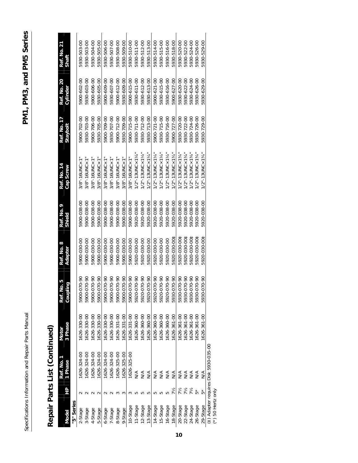Specifications Information and Repair Parts Manual **Parts Manual** *PM1, PM1, PM3, and PM5* **Series** Specifications Information and Repair Parts Manual

# Repair Parts List (Continued) **Repair Parts List (Continued)**

| <b>Model</b> | 웃          | Ref. No.<br>1 Phase                   | 3 Phase<br>Motor | No. 5<br>Ref.        | Ref. No. 8<br>Adapter | Ref. No.<br>Shield | Ref. No. 14<br>Cap Screw         | Ref. No. 17<br>Stayboll | Ref. No. 20<br>Cylinder | Ref. No. 21<br>Shaft |
|--------------|------------|---------------------------------------|------------------|----------------------|-----------------------|--------------------|----------------------------------|-------------------------|-------------------------|----------------------|
| "5" Series   |            |                                       |                  | piling<br>Cou        |                       |                    |                                  |                         |                         |                      |
|              |            |                                       |                  |                      |                       |                    |                                  |                         |                         |                      |
| 2-Stage      |            | 626-324-00                            | 1626-330-00      | 5900-070-90          | 5900-030-00           | 5900-038-00        | $3/8"$ -16UNC $\times$ 1         | 5900-702-00             | 5900-602-00             | 5930-503-00          |
| 3-Stage      |            | 626-324-00                            | 1626-330-00      | 5900-070-90          | 5900-030-00           | 5900-038-00        | $3/8" - 16$ UNC $\times$ 1       | 5930-703-00             | 5930-603-00             | 5930-503-00          |
| 4-Stage      |            | 626-324-00                            | 1626-330-00      | 5900-070-90          | 5900-030-00           | 5900-038-00        | $3/8"$ -16UNC×1                  | 5900-706-00             | 5900-606-00             | 5930-504-00          |
| 5-Stage      |            | 626-324-00                            | 626-330-00       | 5900-070-90          | 5900-030-00           | 5900-038-00        | $3/8" - 16$ UNC $\times$ 1       | 5930-705-00             | 5930-605-00             | 5930-505-00          |
| 6-Stage      |            | 626-324-00                            | 1626-330-00      | 5900-070-90          | 5900-030-00           | 5900-038-00        | $3/8" - 16$ UNC $\times$ 1       | 5900-709-00             | 5900-609-00             | 5930-506-00          |
| 7-Stage      |            | 626-324-00                            | 1626-330-00      | 5900-070-90          | 5900-030-00           | 5900-038-00        | $3/8" - 16$ UNC $\times$ 1       | 5930-707-00             | 5930-607-00             | 5930-507-00          |
| 8-Stage      |            | 1626-325-00                           | 1626-331-00      | 5900-070-90          | 5900-030-00           | 5900-038-00        | $3/8" - 16$ UNC $\times$ 1       | 5900-712-00             | 5900-612-00             | 5930-508-00          |
| 9-Stage      |            | 626-325-00                            | 1626-331-00      | 5900-070-90          | 5900-030-00           | 5900-038-00        | $3/8"$ -16UNC $\times$ 1         | 5930-709-00             | 5930-609-00             | 5930-509-00          |
| 10-Stage     |            | 1626-325-00                           | 1626-331-00      | 5900-070-90          | 5900-030-00           | 5900-038-00        | $3/8"$ -16UNC $\times$ 1         | 5900-715-00             | 5900-615-00             | 5930-510-00          |
| 11-Stage     |            | $\frac{1}{2}$                         | 626-360-00       | 5920-070-90          | 5920-030-00           | 5920-038-00        | /2"-13UNC×1½                     | 5930-711-00             | 5930-611-00             | 5930-511-00          |
| 12-Stage     |            | $\frac{4}{\sqrt{2}}$                  | 1626-360-00      | 5920-070-90          | 5920-030-00           | 5920-038-00        | $1/2" - 13$ UNC x 1 1/4          | 5930-712-00             | 5930-612-00             | 5930-512-00          |
| 13-Stage     |            | $\frac{1}{2}$                         | 626-360-00       | 5920-070-90          | 5920-030-00           | 5920-038-00        | $1/2$ "-13 UNC $\times$ 1 $\%$ " | 5930-713-00             | 5930-613-00             | 5930-513-00          |
| 14-Stage     |            | ∕<                                    | 1626-360-00      | 5920-070-90          | 5920-030-00           | 5920-038-00        | $1/2$ "-13UNC×1½                 | 5900-721-00             | 5900-621-00             | 5930-514-00          |
| 15-Stage     |            | $\frac{4}{\sqrt{2}}$                  | 1626-360-00      | 5920-070-90          | 5920-030-00           | 5920-038-00        | 1/2"-13UNC×114                   | 5930-715-00             | 5930-615-00             | 5930-515-00          |
| 16-Stage     |            | $\frac{4}{\sqrt{2}}$                  | 1626-360-00      | 5920-070-90          | 5920-030-00           | 5920-038-00        | $1/2" - 13$ UNC x 1 1/4          | 5930-716-00             | 5930-616-00             | 5930-516-00          |
| 18-Stage     | 7½         | $\frac{1}{2}$                         | 1626-361-00      | 5930-070-90          | 5920-030-00‡          | 5920-038-00        | $1/2$ "-13UNC×1¾"                | 5900-727-00             | 5900-627-00             | 5930-518-00          |
| 20-Stage     | 7½         | ≶                                     | 1626-361-00      | 5930-070-90          | 5920-030-00‡          | 5920-038-00        | $1/2$ "-13UNC×134                | 5930-720-00             | 5930-620-00             | 5930-520-00          |
| 22-Stage     | 7 ½<br>7 ½ | $\frac{4}{2}$                         | 1626-361-00      | 5930-070-90          | 5920-030-001          | 920-038-00         | $/2" - 13$ UNC $\times$ 13 $/4$  | 5930-722-00             | 5930-622-00             | 5930-522-00          |
| 24-Stage     |            | NA<br>NA                              | 1626-361-00      | 5930-070-90          | 5920-030-00           | 920-038-00         | $/2" - 13$ UNC $\times$ 134      | 5930-724-00             | 5930-624-00             | 5930-524-00          |
| 26-Stage     |            |                                       | 1626-361-00      | 5930-070-90          | 5920-030-001          | 920-038-00         | $/2" - 13$ UNC $\times$ 134      | 5930-726-00             | 5930-626-00             | 5930-526-00          |
| 29-Stage     |            | N/A                                   | 1626-361-00      | $0.070 - 90$<br>5930 | 5920-030-001          | 5920-038-00        | $1/2" - 13$ UNC x 134            | 5930-729-00             | 5930-629-00             | 5930-529-00          |
|              |            | (#) Adapter requires Disk 5930-035-00 |                  |                      |                       |                    |                                  |                         |                         |                      |

(\*) Adapter Tequin<br>(\*) 50 Hertz only (\*) 50 Hertz only